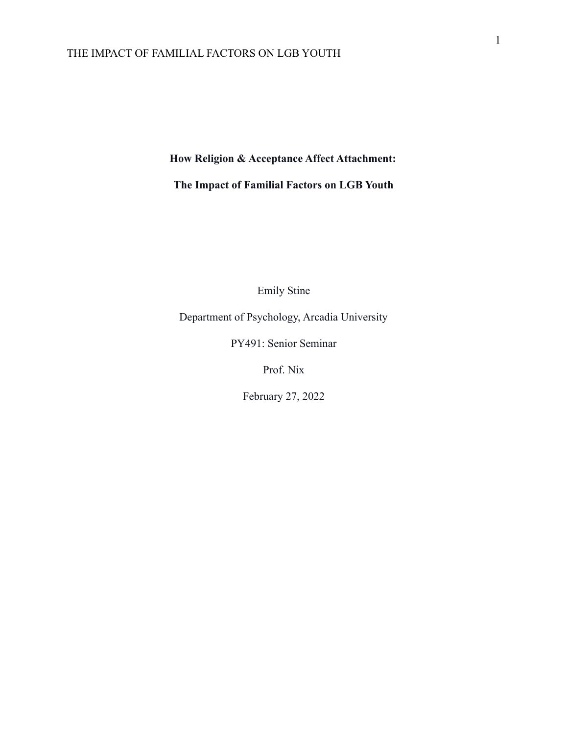**How Religion & Acceptance Affect Attachment:**

**The Impact of Familial Factors on LGB Youth**

Emily Stine

Department of Psychology, Arcadia University

PY491: Senior Seminar

Prof. Nix

February 27, 2022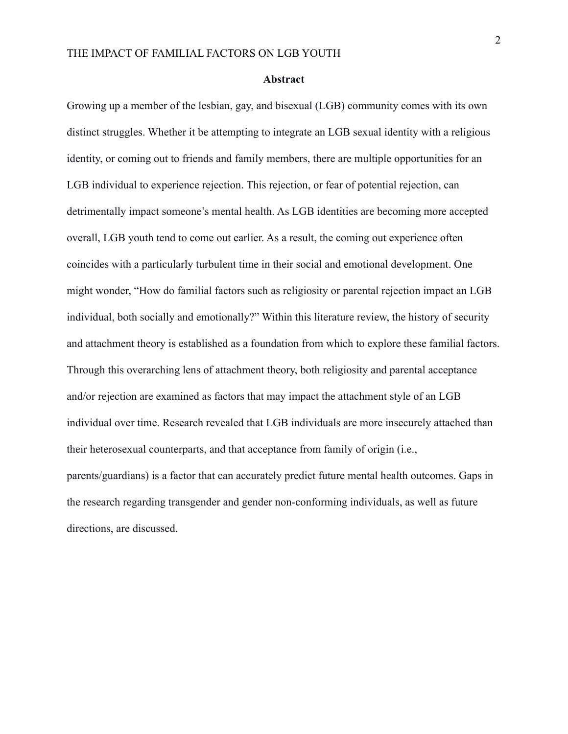#### **Abstract**

Growing up a member of the lesbian, gay, and bisexual (LGB) community comes with its own distinct struggles. Whether it be attempting to integrate an LGB sexual identity with a religious identity, or coming out to friends and family members, there are multiple opportunities for an LGB individual to experience rejection. This rejection, or fear of potential rejection, can detrimentally impact someone's mental health. As LGB identities are becoming more accepted overall, LGB youth tend to come out earlier. As a result, the coming out experience often coincides with a particularly turbulent time in their social and emotional development. One might wonder, "How do familial factors such as religiosity or parental rejection impact an LGB individual, both socially and emotionally?" Within this literature review, the history of security and attachment theory is established as a foundation from which to explore these familial factors. Through this overarching lens of attachment theory, both religiosity and parental acceptance and/or rejection are examined as factors that may impact the attachment style of an LGB individual over time. Research revealed that LGB individuals are more insecurely attached than their heterosexual counterparts, and that acceptance from family of origin (i.e., parents/guardians) is a factor that can accurately predict future mental health outcomes. Gaps in the research regarding transgender and gender non-conforming individuals, as well as future directions, are discussed.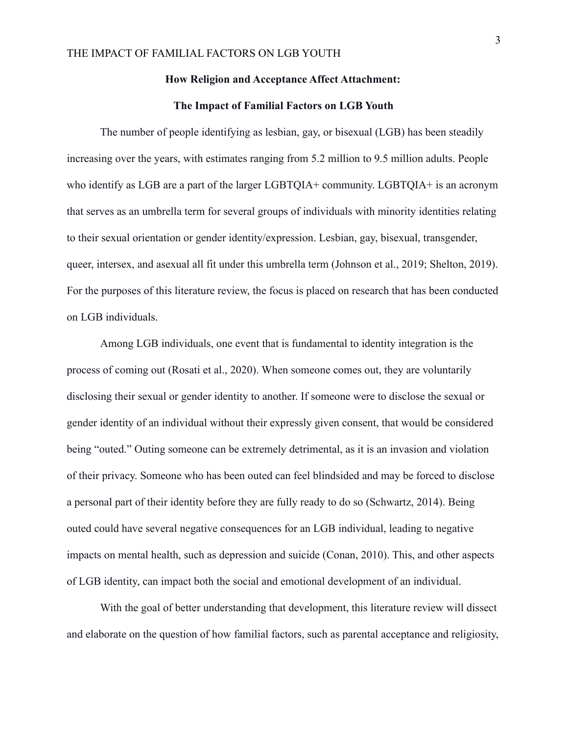#### **How Religion and Acceptance Affect Attachment:**

#### **The Impact of Familial Factors on LGB Youth**

The number of people identifying as lesbian, gay, or bisexual (LGB) has been steadily increasing over the years, with estimates ranging from 5.2 million to 9.5 million adults. People who identify as LGB are a part of the larger LGBTOIA+ community. LGBTOIA+ is an acronym that serves as an umbrella term for several groups of individuals with minority identities relating to their sexual orientation or gender identity/expression. Lesbian, gay, bisexual, transgender, queer, intersex, and asexual all fit under this umbrella term (Johnson et al., 2019; Shelton, 2019). For the purposes of this literature review, the focus is placed on research that has been conducted on LGB individuals.

Among LGB individuals, one event that is fundamental to identity integration is the process of coming out (Rosati et al., 2020). When someone comes out, they are voluntarily disclosing their sexual or gender identity to another. If someone were to disclose the sexual or gender identity of an individual without their expressly given consent, that would be considered being "outed." Outing someone can be extremely detrimental, as it is an invasion and violation of their privacy. Someone who has been outed can feel blindsided and may be forced to disclose a personal part of their identity before they are fully ready to do so (Schwartz, 2014). Being outed could have several negative consequences for an LGB individual, leading to negative impacts on mental health, such as depression and suicide (Conan, 2010). This, and other aspects of LGB identity, can impact both the social and emotional development of an individual.

With the goal of better understanding that development, this literature review will dissect and elaborate on the question of how familial factors, such as parental acceptance and religiosity,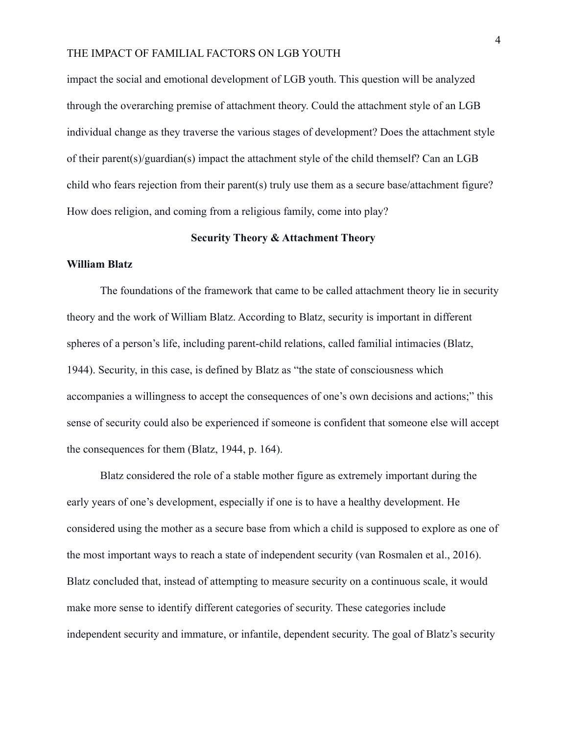impact the social and emotional development of LGB youth. This question will be analyzed through the overarching premise of attachment theory. Could the attachment style of an LGB individual change as they traverse the various stages of development? Does the attachment style of their parent(s)/guardian(s) impact the attachment style of the child themself? Can an LGB child who fears rejection from their parent(s) truly use them as a secure base/attachment figure? How does religion, and coming from a religious family, come into play?

#### **Security Theory & Attachment Theory**

#### **William Blatz**

The foundations of the framework that came to be called attachment theory lie in security theory and the work of William Blatz. According to Blatz, security is important in different spheres of a person's life, including parent-child relations, called familial intimacies (Blatz, 1944). Security, in this case, is defined by Blatz as "the state of consciousness which accompanies a willingness to accept the consequences of one's own decisions and actions;" this sense of security could also be experienced if someone is confident that someone else will accept the consequences for them (Blatz, 1944, p. 164).

Blatz considered the role of a stable mother figure as extremely important during the early years of one's development, especially if one is to have a healthy development. He considered using the mother as a secure base from which a child is supposed to explore as one of the most important ways to reach a state of independent security (van Rosmalen et al., 2016). Blatz concluded that, instead of attempting to measure security on a continuous scale, it would make more sense to identify different categories of security. These categories include independent security and immature, or infantile, dependent security. The goal of Blatz's security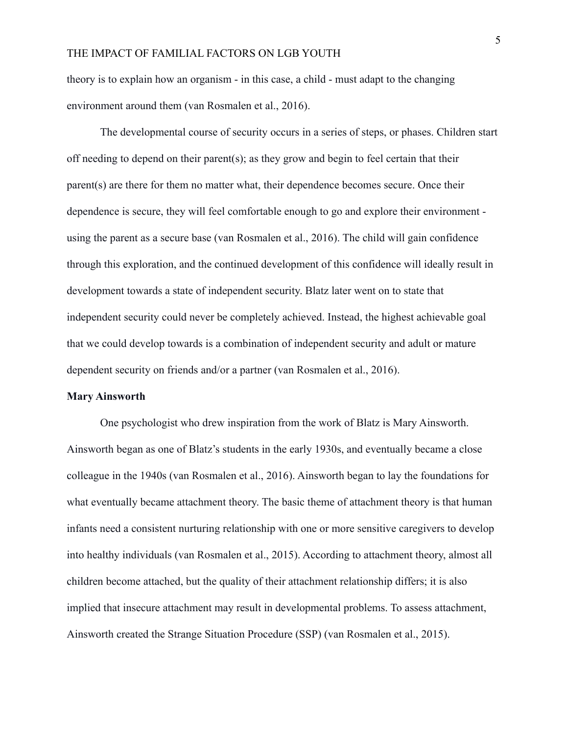theory is to explain how an organism - in this case, a child - must adapt to the changing environment around them (van Rosmalen et al., 2016).

The developmental course of security occurs in a series of steps, or phases. Children start off needing to depend on their parent(s); as they grow and begin to feel certain that their parent(s) are there for them no matter what, their dependence becomes secure. Once their dependence is secure, they will feel comfortable enough to go and explore their environment using the parent as a secure base (van Rosmalen et al., 2016). The child will gain confidence through this exploration, and the continued development of this confidence will ideally result in development towards a state of independent security. Blatz later went on to state that independent security could never be completely achieved. Instead, the highest achievable goal that we could develop towards is a combination of independent security and adult or mature dependent security on friends and/or a partner (van Rosmalen et al., 2016).

#### **Mary Ainsworth**

One psychologist who drew inspiration from the work of Blatz is Mary Ainsworth. Ainsworth began as one of Blatz's students in the early 1930s, and eventually became a close colleague in the 1940s (van Rosmalen et al., 2016). Ainsworth began to lay the foundations for what eventually became attachment theory. The basic theme of attachment theory is that human infants need a consistent nurturing relationship with one or more sensitive caregivers to develop into healthy individuals (van Rosmalen et al., 2015). According to attachment theory, almost all children become attached, but the quality of their attachment relationship differs; it is also implied that insecure attachment may result in developmental problems. To assess attachment, Ainsworth created the Strange Situation Procedure (SSP) (van Rosmalen et al., 2015).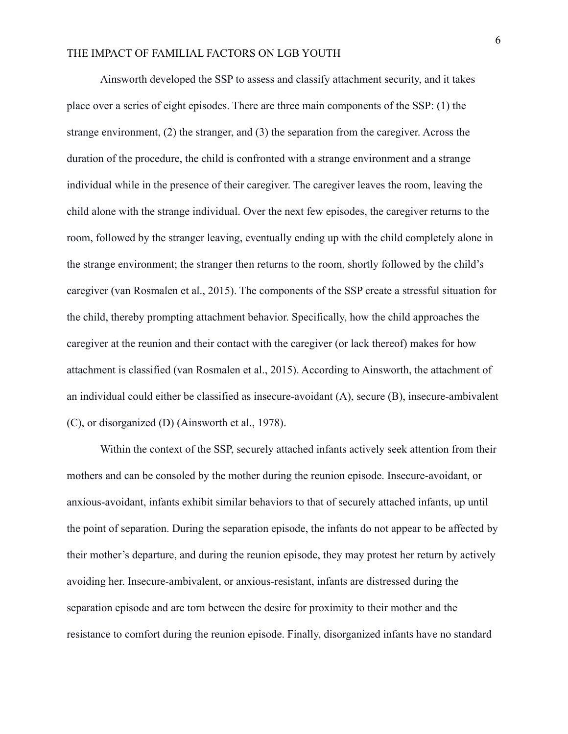Ainsworth developed the SSP to assess and classify attachment security, and it takes place over a series of eight episodes. There are three main components of the SSP: (1) the strange environment, (2) the stranger, and (3) the separation from the caregiver. Across the duration of the procedure, the child is confronted with a strange environment and a strange individual while in the presence of their caregiver. The caregiver leaves the room, leaving the child alone with the strange individual. Over the next few episodes, the caregiver returns to the room, followed by the stranger leaving, eventually ending up with the child completely alone in the strange environment; the stranger then returns to the room, shortly followed by the child's caregiver (van Rosmalen et al., 2015). The components of the SSP create a stressful situation for the child, thereby prompting attachment behavior. Specifically, how the child approaches the caregiver at the reunion and their contact with the caregiver (or lack thereof) makes for how attachment is classified (van Rosmalen et al., 2015). According to Ainsworth, the attachment of an individual could either be classified as insecure-avoidant (A), secure (B), insecure-ambivalent (C), or disorganized (D) (Ainsworth et al., 1978).

Within the context of the SSP, securely attached infants actively seek attention from their mothers and can be consoled by the mother during the reunion episode. Insecure-avoidant, or anxious-avoidant, infants exhibit similar behaviors to that of securely attached infants, up until the point of separation. During the separation episode, the infants do not appear to be affected by their mother's departure, and during the reunion episode, they may protest her return by actively avoiding her. Insecure-ambivalent, or anxious-resistant, infants are distressed during the separation episode and are torn between the desire for proximity to their mother and the resistance to comfort during the reunion episode. Finally, disorganized infants have no standard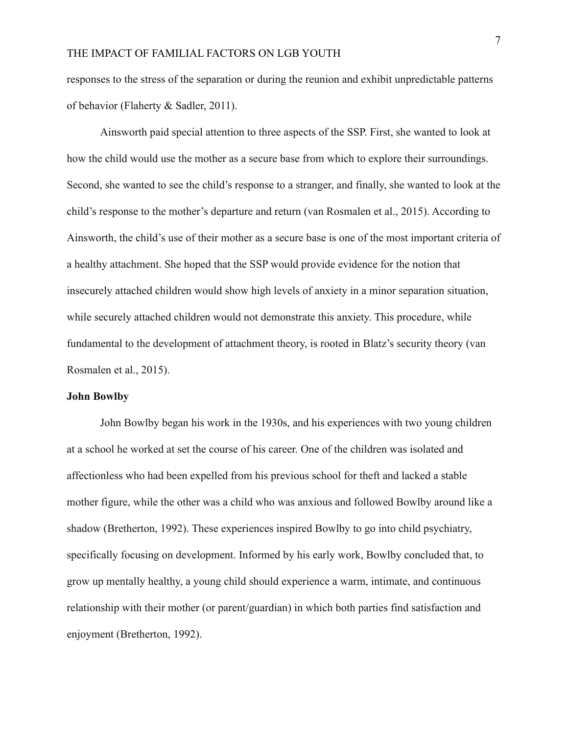responses to the stress of the separation or during the reunion and exhibit unpredictable patterns of behavior (Flaherty & Sadler, 2011).

Ainsworth paid special attention to three aspects of the SSP. First, she wanted to look at how the child would use the mother as a secure base from which to explore their surroundings. Second, she wanted to see the child's response to a stranger, and finally, she wanted to look at the child's response to the mother's departure and return (van Rosmalen et al., 2015). According to Ainsworth, the child's use of their mother as a secure base is one of the most important criteria of a healthy attachment. She hoped that the SSP would provide evidence for the notion that insecurely attached children would show high levels of anxiety in a minor separation situation, while securely attached children would not demonstrate this anxiety. This procedure, while fundamental to the development of attachment theory, is rooted in Blatz's security theory (van Rosmalen et al., 2015).

#### **John Bowlby**

John Bowlby began his work in the 1930s, and his experiences with two young children at a school he worked at set the course of his career. One of the children was isolated and affectionless who had been expelled from his previous school for theft and lacked a stable mother figure, while the other was a child who was anxious and followed Bowlby around like a shadow (Bretherton, 1992). These experiences inspired Bowlby to go into child psychiatry, specifically focusing on development. Informed by his early work, Bowlby concluded that, to grow up mentally healthy, a young child should experience a warm, intimate, and continuous relationship with their mother (or parent/guardian) in which both parties find satisfaction and enjoyment (Bretherton, 1992).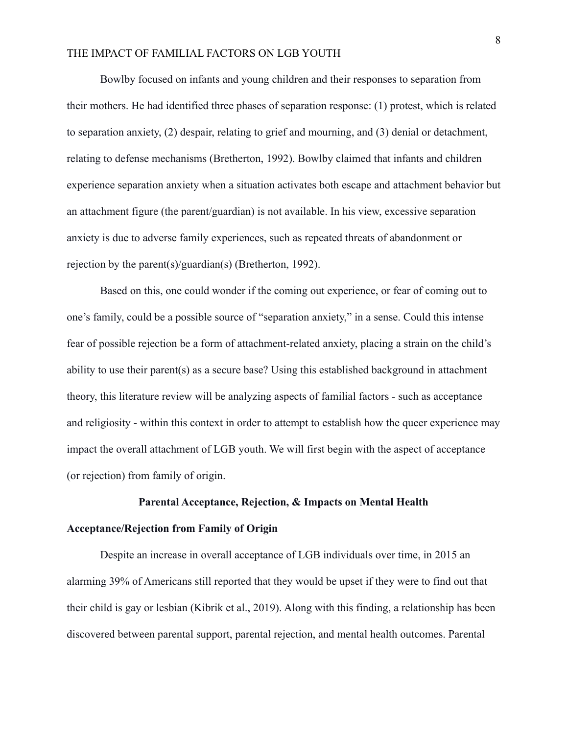Bowlby focused on infants and young children and their responses to separation from their mothers. He had identified three phases of separation response: (1) protest, which is related to separation anxiety, (2) despair, relating to grief and mourning, and (3) denial or detachment, relating to defense mechanisms (Bretherton, 1992). Bowlby claimed that infants and children experience separation anxiety when a situation activates both escape and attachment behavior but an attachment figure (the parent/guardian) is not available. In his view, excessive separation anxiety is due to adverse family experiences, such as repeated threats of abandonment or rejection by the parent(s)/guardian(s) (Bretherton, 1992).

Based on this, one could wonder if the coming out experience, or fear of coming out to one's family, could be a possible source of "separation anxiety," in a sense. Could this intense fear of possible rejection be a form of attachment-related anxiety, placing a strain on the child's ability to use their parent(s) as a secure base? Using this established background in attachment theory, this literature review will be analyzing aspects of familial factors - such as acceptance and religiosity - within this context in order to attempt to establish how the queer experience may impact the overall attachment of LGB youth. We will first begin with the aspect of acceptance (or rejection) from family of origin.

#### **Parental Acceptance, Rejection, & Impacts on Mental Health**

### **Acceptance/Rejection from Family of Origin**

Despite an increase in overall acceptance of LGB individuals over time, in 2015 an alarming 39% of Americans still reported that they would be upset if they were to find out that their child is gay or lesbian (Kibrik et al., 2019). Along with this finding, a relationship has been discovered between parental support, parental rejection, and mental health outcomes. Parental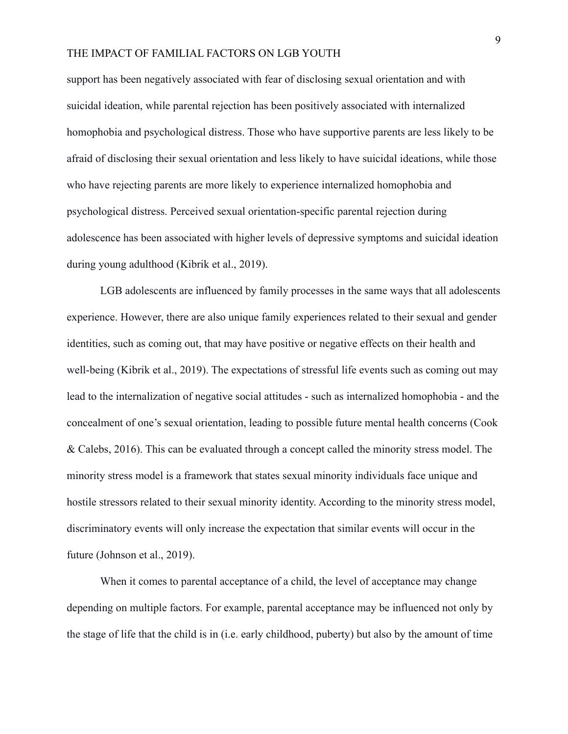support has been negatively associated with fear of disclosing sexual orientation and with suicidal ideation, while parental rejection has been positively associated with internalized homophobia and psychological distress. Those who have supportive parents are less likely to be afraid of disclosing their sexual orientation and less likely to have suicidal ideations, while those who have rejecting parents are more likely to experience internalized homophobia and psychological distress. Perceived sexual orientation-specific parental rejection during adolescence has been associated with higher levels of depressive symptoms and suicidal ideation during young adulthood (Kibrik et al., 2019).

LGB adolescents are influenced by family processes in the same ways that all adolescents experience. However, there are also unique family experiences related to their sexual and gender identities, such as coming out, that may have positive or negative effects on their health and well-being (Kibrik et al., 2019). The expectations of stressful life events such as coming out may lead to the internalization of negative social attitudes - such as internalized homophobia - and the concealment of one's sexual orientation, leading to possible future mental health concerns (Cook & Calebs, 2016). This can be evaluated through a concept called the minority stress model. The minority stress model is a framework that states sexual minority individuals face unique and hostile stressors related to their sexual minority identity. According to the minority stress model, discriminatory events will only increase the expectation that similar events will occur in the future (Johnson et al., 2019).

When it comes to parental acceptance of a child, the level of acceptance may change depending on multiple factors. For example, parental acceptance may be influenced not only by the stage of life that the child is in (i.e. early childhood, puberty) but also by the amount of time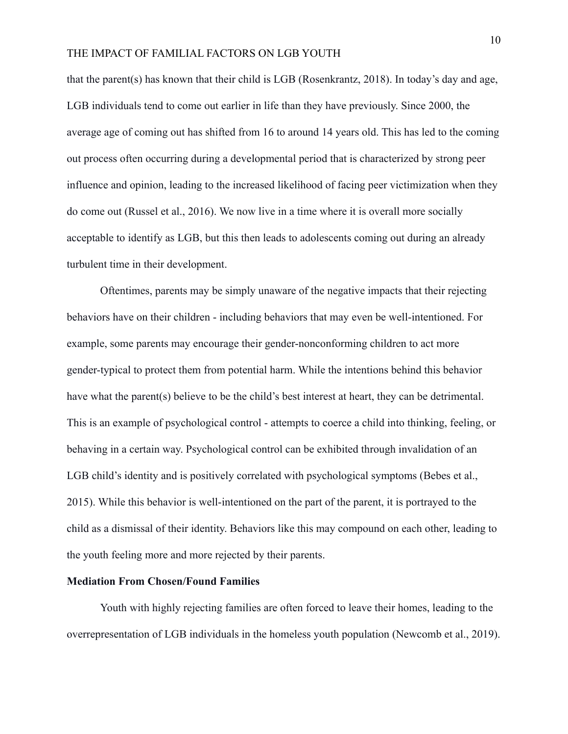that the parent(s) has known that their child is LGB (Rosenkrantz, 2018). In today's day and age, LGB individuals tend to come out earlier in life than they have previously. Since 2000, the average age of coming out has shifted from 16 to around 14 years old. This has led to the coming out process often occurring during a developmental period that is characterized by strong peer influence and opinion, leading to the increased likelihood of facing peer victimization when they do come out (Russel et al., 2016). We now live in a time where it is overall more socially acceptable to identify as LGB, but this then leads to adolescents coming out during an already turbulent time in their development.

Oftentimes, parents may be simply unaware of the negative impacts that their rejecting behaviors have on their children - including behaviors that may even be well-intentioned. For example, some parents may encourage their gender-nonconforming children to act more gender-typical to protect them from potential harm. While the intentions behind this behavior have what the parent(s) believe to be the child's best interest at heart, they can be detrimental. This is an example of psychological control - attempts to coerce a child into thinking, feeling, or behaving in a certain way. Psychological control can be exhibited through invalidation of an LGB child's identity and is positively correlated with psychological symptoms (Bebes et al., 2015). While this behavior is well-intentioned on the part of the parent, it is portrayed to the child as a dismissal of their identity. Behaviors like this may compound on each other, leading to the youth feeling more and more rejected by their parents.

# **Mediation From Chosen/Found Families**

Youth with highly rejecting families are often forced to leave their homes, leading to the overrepresentation of LGB individuals in the homeless youth population (Newcomb et al., 2019).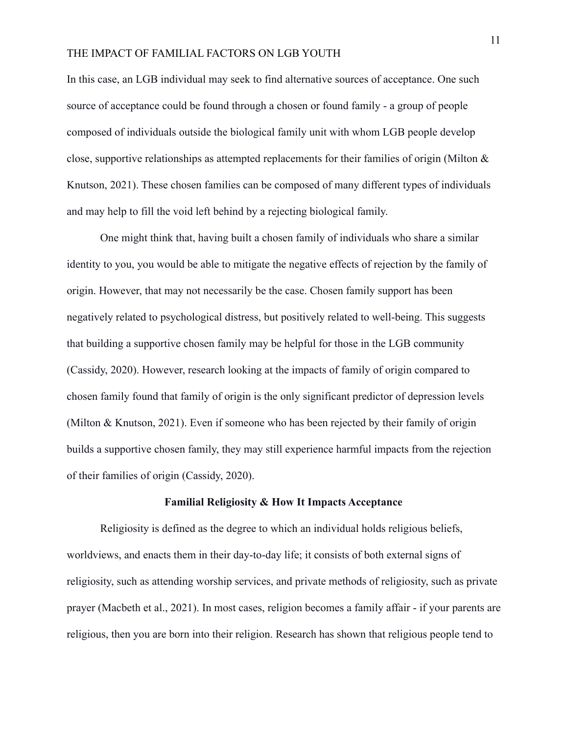In this case, an LGB individual may seek to find alternative sources of acceptance. One such source of acceptance could be found through a chosen or found family - a group of people composed of individuals outside the biological family unit with whom LGB people develop close, supportive relationships as attempted replacements for their families of origin (Milton & Knutson, 2021). These chosen families can be composed of many different types of individuals and may help to fill the void left behind by a rejecting biological family.

One might think that, having built a chosen family of individuals who share a similar identity to you, you would be able to mitigate the negative effects of rejection by the family of origin. However, that may not necessarily be the case. Chosen family support has been negatively related to psychological distress, but positively related to well-being. This suggests that building a supportive chosen family may be helpful for those in the LGB community (Cassidy, 2020). However, research looking at the impacts of family of origin compared to chosen family found that family of origin is the only significant predictor of depression levels (Milton & Knutson, 2021). Even if someone who has been rejected by their family of origin builds a supportive chosen family, they may still experience harmful impacts from the rejection of their families of origin (Cassidy, 2020).

#### **Familial Religiosity & How It Impacts Acceptance**

Religiosity is defined as the degree to which an individual holds religious beliefs, worldviews, and enacts them in their day-to-day life; it consists of both external signs of religiosity, such as attending worship services, and private methods of religiosity, such as private prayer (Macbeth et al., 2021). In most cases, religion becomes a family affair - if your parents are religious, then you are born into their religion. Research has shown that religious people tend to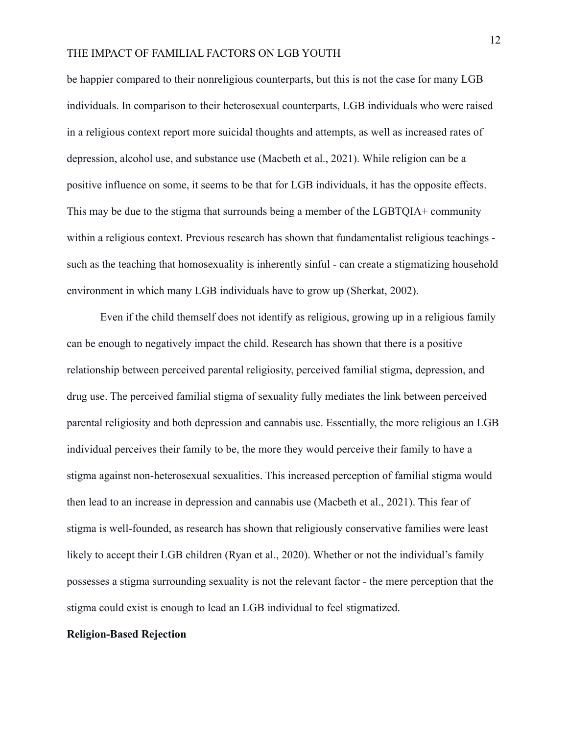be happier compared to their nonreligious counterparts, but this is not the case for many LGB individuals. In comparison to their heterosexual counterparts, LGB individuals who were raised in a religious context report more suicidal thoughts and attempts, as well as increased rates of depression, alcohol use, and substance use (Macbeth et al., 2021). While religion can be a positive influence on some, it seems to be that for LGB individuals, it has the opposite effects. This may be due to the stigma that surrounds being a member of the LGBTQIA+ community within a religious context. Previous research has shown that fundamentalist religious teachings such as the teaching that homosexuality is inherently sinful - can create a stigmatizing household environment in which many LGB individuals have to grow up (Sherkat, 2002).

Even if the child themself does not identify as religious, growing up in a religious family can be enough to negatively impact the child. Research has shown that there is a positive relationship between perceived parental religiosity, perceived familial stigma, depression, and drug use. The perceived familial stigma of sexuality fully mediates the link between perceived parental religiosity and both depression and cannabis use. Essentially, the more religious an LGB individual perceives their family to be, the more they would perceive their family to have a stigma against non-heterosexual sexualities. This increased perception of familial stigma would then lead to an increase in depression and cannabis use (Macbeth et al., 2021). This fear of stigma is well-founded, as research has shown that religiously conservative families were least likely to accept their LGB children (Ryan et al., 2020). Whether or not the individual's family possesses a stigma surrounding sexuality is not the relevant factor - the mere perception that the stigma could exist is enough to lead an LGB individual to feel stigmatized.

#### **Religion-Based Rejection**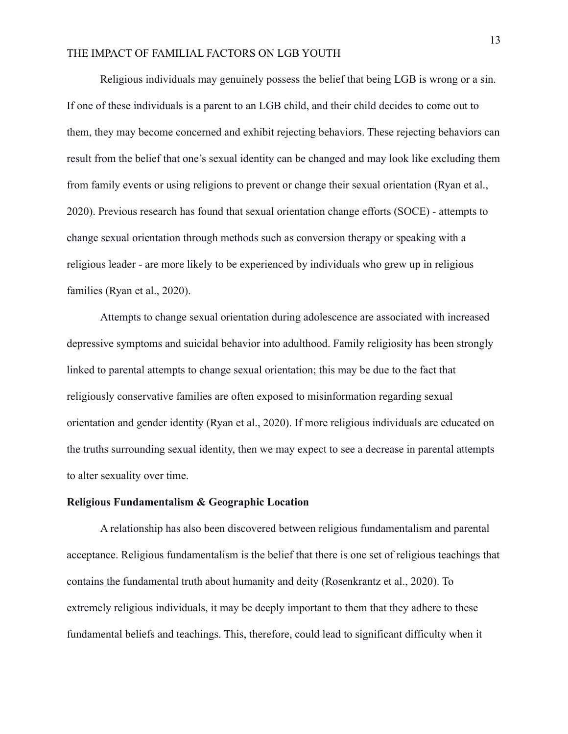Religious individuals may genuinely possess the belief that being LGB is wrong or a sin. If one of these individuals is a parent to an LGB child, and their child decides to come out to them, they may become concerned and exhibit rejecting behaviors. These rejecting behaviors can result from the belief that one's sexual identity can be changed and may look like excluding them from family events or using religions to prevent or change their sexual orientation (Ryan et al., 2020). Previous research has found that sexual orientation change efforts (SOCE) - attempts to change sexual orientation through methods such as conversion therapy or speaking with a religious leader - are more likely to be experienced by individuals who grew up in religious families (Ryan et al., 2020).

Attempts to change sexual orientation during adolescence are associated with increased depressive symptoms and suicidal behavior into adulthood. Family religiosity has been strongly linked to parental attempts to change sexual orientation; this may be due to the fact that religiously conservative families are often exposed to misinformation regarding sexual orientation and gender identity (Ryan et al., 2020). If more religious individuals are educated on the truths surrounding sexual identity, then we may expect to see a decrease in parental attempts to alter sexuality over time.

#### **Religious Fundamentalism & Geographic Location**

A relationship has also been discovered between religious fundamentalism and parental acceptance. Religious fundamentalism is the belief that there is one set of religious teachings that contains the fundamental truth about humanity and deity (Rosenkrantz et al., 2020). To extremely religious individuals, it may be deeply important to them that they adhere to these fundamental beliefs and teachings. This, therefore, could lead to significant difficulty when it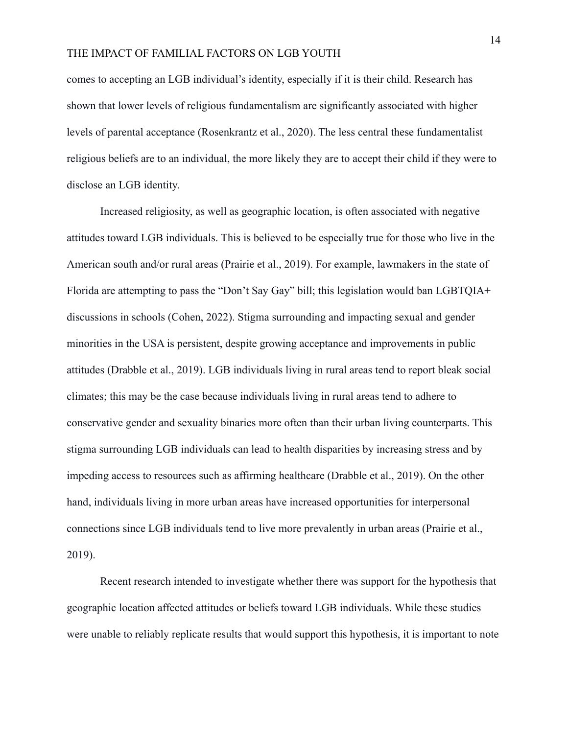comes to accepting an LGB individual's identity, especially if it is their child. Research has shown that lower levels of religious fundamentalism are significantly associated with higher levels of parental acceptance (Rosenkrantz et al., 2020). The less central these fundamentalist religious beliefs are to an individual, the more likely they are to accept their child if they were to disclose an LGB identity.

Increased religiosity, as well as geographic location, is often associated with negative attitudes toward LGB individuals. This is believed to be especially true for those who live in the American south and/or rural areas (Prairie et al., 2019). For example, lawmakers in the state of Florida are attempting to pass the "Don't Say Gay" bill; this legislation would ban LGBTQIA+ discussions in schools (Cohen, 2022). Stigma surrounding and impacting sexual and gender minorities in the USA is persistent, despite growing acceptance and improvements in public attitudes (Drabble et al., 2019). LGB individuals living in rural areas tend to report bleak social climates; this may be the case because individuals living in rural areas tend to adhere to conservative gender and sexuality binaries more often than their urban living counterparts. This stigma surrounding LGB individuals can lead to health disparities by increasing stress and by impeding access to resources such as affirming healthcare (Drabble et al., 2019). On the other hand, individuals living in more urban areas have increased opportunities for interpersonal connections since LGB individuals tend to live more prevalently in urban areas (Prairie et al., 2019).

Recent research intended to investigate whether there was support for the hypothesis that geographic location affected attitudes or beliefs toward LGB individuals. While these studies were unable to reliably replicate results that would support this hypothesis, it is important to note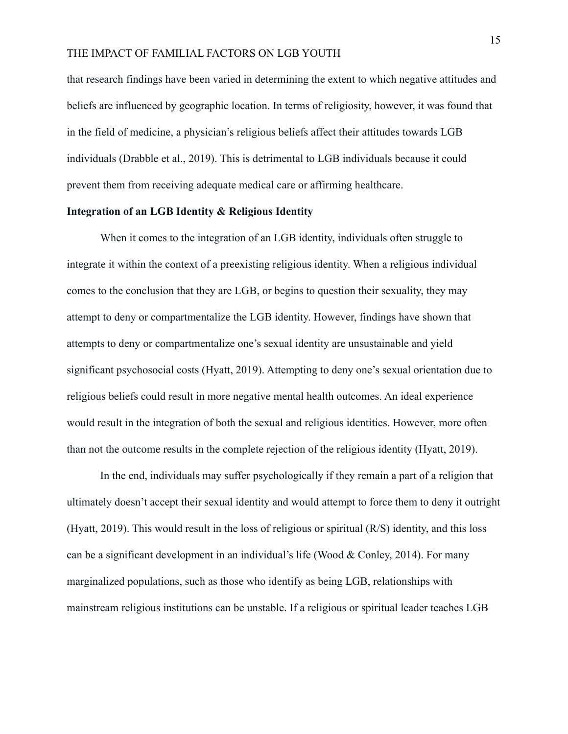that research findings have been varied in determining the extent to which negative attitudes and beliefs are influenced by geographic location. In terms of religiosity, however, it was found that in the field of medicine, a physician's religious beliefs affect their attitudes towards LGB individuals (Drabble et al., 2019). This is detrimental to LGB individuals because it could prevent them from receiving adequate medical care or affirming healthcare.

#### **Integration of an LGB Identity & Religious Identity**

When it comes to the integration of an LGB identity, individuals often struggle to integrate it within the context of a preexisting religious identity. When a religious individual comes to the conclusion that they are LGB, or begins to question their sexuality, they may attempt to deny or compartmentalize the LGB identity. However, findings have shown that attempts to deny or compartmentalize one's sexual identity are unsustainable and yield significant psychosocial costs (Hyatt, 2019). Attempting to deny one's sexual orientation due to religious beliefs could result in more negative mental health outcomes. An ideal experience would result in the integration of both the sexual and religious identities. However, more often than not the outcome results in the complete rejection of the religious identity (Hyatt, 2019).

In the end, individuals may suffer psychologically if they remain a part of a religion that ultimately doesn't accept their sexual identity and would attempt to force them to deny it outright (Hyatt, 2019). This would result in the loss of religious or spiritual (R/S) identity, and this loss can be a significant development in an individual's life (Wood & Conley, 2014). For many marginalized populations, such as those who identify as being LGB, relationships with mainstream religious institutions can be unstable. If a religious or spiritual leader teaches LGB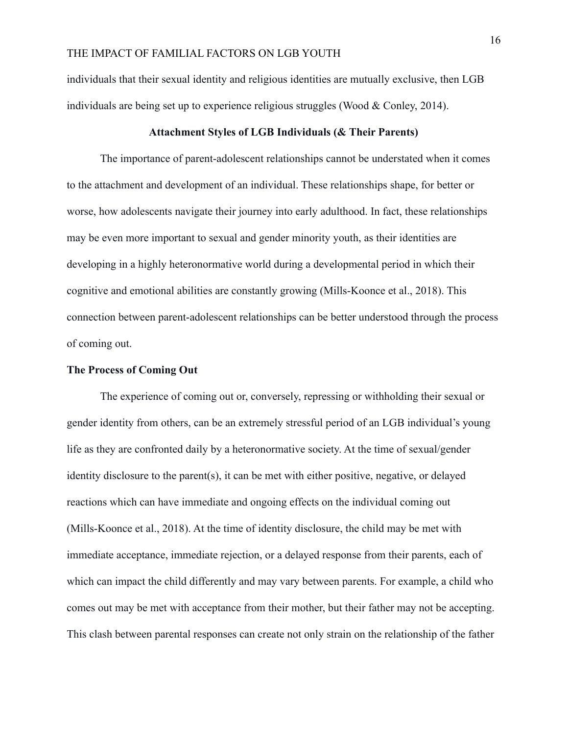individuals that their sexual identity and religious identities are mutually exclusive, then LGB individuals are being set up to experience religious struggles (Wood & Conley, 2014).

#### **Attachment Styles of LGB Individuals (& Their Parents)**

The importance of parent-adolescent relationships cannot be understated when it comes to the attachment and development of an individual. These relationships shape, for better or worse, how adolescents navigate their journey into early adulthood. In fact, these relationships may be even more important to sexual and gender minority youth, as their identities are developing in a highly heteronormative world during a developmental period in which their cognitive and emotional abilities are constantly growing (Mills-Koonce et al., 2018). This connection between parent-adolescent relationships can be better understood through the process of coming out.

#### **The Process of Coming Out**

The experience of coming out or, conversely, repressing or withholding their sexual or gender identity from others, can be an extremely stressful period of an LGB individual's young life as they are confronted daily by a heteronormative society. At the time of sexual/gender identity disclosure to the parent(s), it can be met with either positive, negative, or delayed reactions which can have immediate and ongoing effects on the individual coming out (Mills-Koonce et al., 2018). At the time of identity disclosure, the child may be met with immediate acceptance, immediate rejection, or a delayed response from their parents, each of which can impact the child differently and may vary between parents. For example, a child who comes out may be met with acceptance from their mother, but their father may not be accepting. This clash between parental responses can create not only strain on the relationship of the father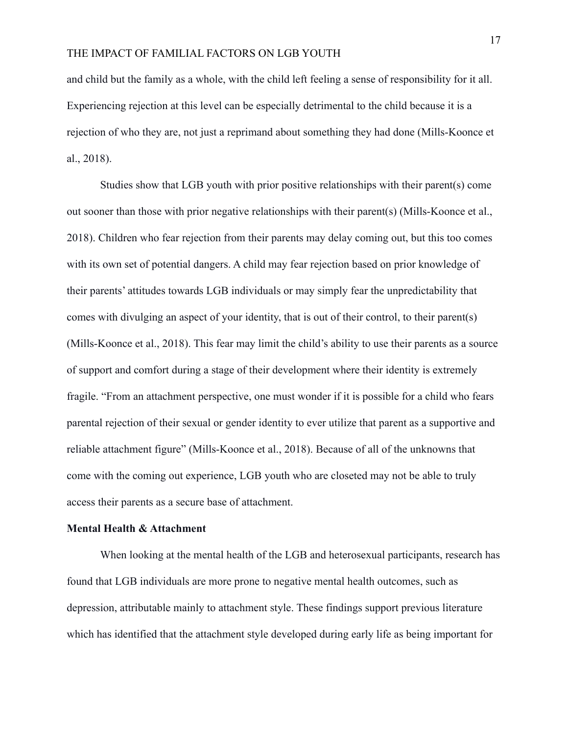and child but the family as a whole, with the child left feeling a sense of responsibility for it all. Experiencing rejection at this level can be especially detrimental to the child because it is a rejection of who they are, not just a reprimand about something they had done (Mills-Koonce et al., 2018).

Studies show that LGB youth with prior positive relationships with their parent(s) come out sooner than those with prior negative relationships with their parent(s) (Mills-Koonce et al., 2018). Children who fear rejection from their parents may delay coming out, but this too comes with its own set of potential dangers. A child may fear rejection based on prior knowledge of their parents' attitudes towards LGB individuals or may simply fear the unpredictability that comes with divulging an aspect of your identity, that is out of their control, to their parent(s) (Mills-Koonce et al., 2018). This fear may limit the child's ability to use their parents as a source of support and comfort during a stage of their development where their identity is extremely fragile. "From an attachment perspective, one must wonder if it is possible for a child who fears parental rejection of their sexual or gender identity to ever utilize that parent as a supportive and reliable attachment figure" (Mills-Koonce et al., 2018). Because of all of the unknowns that come with the coming out experience, LGB youth who are closeted may not be able to truly access their parents as a secure base of attachment.

#### **Mental Health & Attachment**

When looking at the mental health of the LGB and heterosexual participants, research has found that LGB individuals are more prone to negative mental health outcomes, such as depression, attributable mainly to attachment style. These findings support previous literature which has identified that the attachment style developed during early life as being important for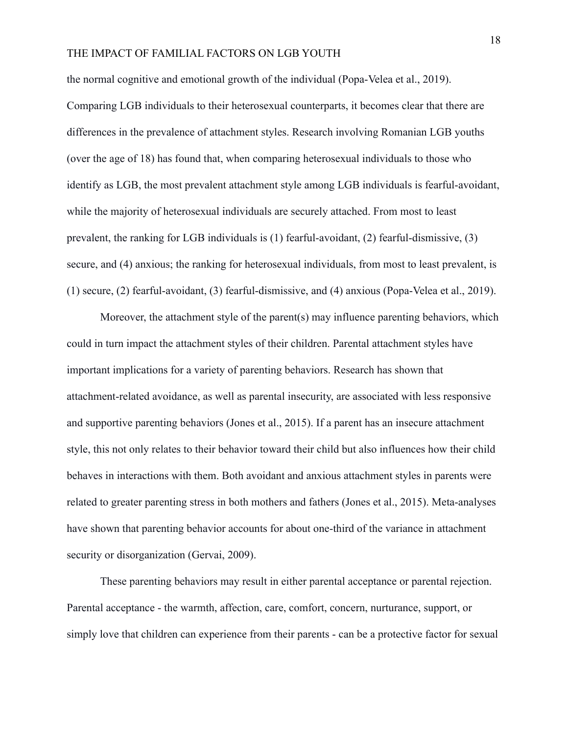the normal cognitive and emotional growth of the individual (Popa-Velea et al., 2019).

Comparing LGB individuals to their heterosexual counterparts, it becomes clear that there are differences in the prevalence of attachment styles. Research involving Romanian LGB youths (over the age of 18) has found that, when comparing heterosexual individuals to those who identify as LGB, the most prevalent attachment style among LGB individuals is fearful-avoidant, while the majority of heterosexual individuals are securely attached. From most to least prevalent, the ranking for LGB individuals is (1) fearful-avoidant, (2) fearful-dismissive, (3) secure, and (4) anxious; the ranking for heterosexual individuals, from most to least prevalent, is (1) secure, (2) fearful-avoidant, (3) fearful-dismissive, and (4) anxious (Popa-Velea et al., 2019).

Moreover, the attachment style of the parent(s) may influence parenting behaviors, which could in turn impact the attachment styles of their children. Parental attachment styles have important implications for a variety of parenting behaviors. Research has shown that attachment-related avoidance, as well as parental insecurity, are associated with less responsive and supportive parenting behaviors (Jones et al., 2015). If a parent has an insecure attachment style, this not only relates to their behavior toward their child but also influences how their child behaves in interactions with them. Both avoidant and anxious attachment styles in parents were related to greater parenting stress in both mothers and fathers (Jones et al., 2015). Meta-analyses have shown that parenting behavior accounts for about one-third of the variance in attachment security or disorganization (Gervai, 2009).

These parenting behaviors may result in either parental acceptance or parental rejection. Parental acceptance - the warmth, affection, care, comfort, concern, nurturance, support, or simply love that children can experience from their parents - can be a protective factor for sexual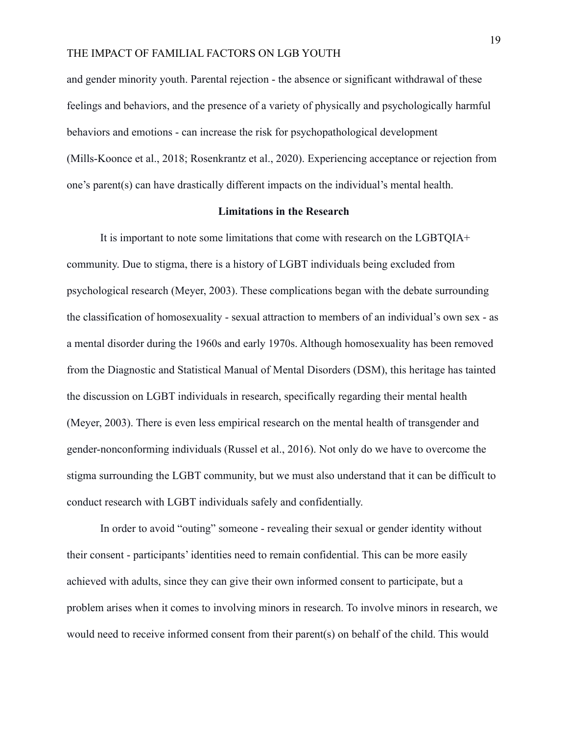and gender minority youth. Parental rejection - the absence or significant withdrawal of these feelings and behaviors, and the presence of a variety of physically and psychologically harmful behaviors and emotions - can increase the risk for psychopathological development (Mills-Koonce et al., 2018; Rosenkrantz et al., 2020). Experiencing acceptance or rejection from one's parent(s) can have drastically different impacts on the individual's mental health.

#### **Limitations in the Research**

It is important to note some limitations that come with research on the LGBTQIA+ community. Due to stigma, there is a history of LGBT individuals being excluded from psychological research (Meyer, 2003). These complications began with the debate surrounding the classification of homosexuality - sexual attraction to members of an individual's own sex - as a mental disorder during the 1960s and early 1970s. Although homosexuality has been removed from the Diagnostic and Statistical Manual of Mental Disorders (DSM), this heritage has tainted the discussion on LGBT individuals in research, specifically regarding their mental health (Meyer, 2003). There is even less empirical research on the mental health of transgender and gender-nonconforming individuals (Russel et al., 2016). Not only do we have to overcome the stigma surrounding the LGBT community, but we must also understand that it can be difficult to conduct research with LGBT individuals safely and confidentially.

In order to avoid "outing" someone - revealing their sexual or gender identity without their consent - participants' identities need to remain confidential. This can be more easily achieved with adults, since they can give their own informed consent to participate, but a problem arises when it comes to involving minors in research. To involve minors in research, we would need to receive informed consent from their parent(s) on behalf of the child. This would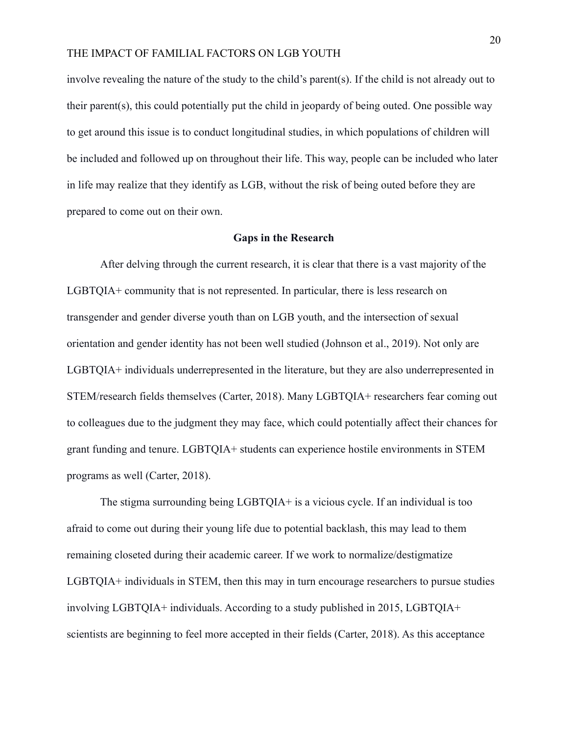involve revealing the nature of the study to the child's parent(s). If the child is not already out to their parent(s), this could potentially put the child in jeopardy of being outed. One possible way to get around this issue is to conduct longitudinal studies, in which populations of children will be included and followed up on throughout their life. This way, people can be included who later in life may realize that they identify as LGB, without the risk of being outed before they are prepared to come out on their own.

#### **Gaps in the Research**

After delving through the current research, it is clear that there is a vast majority of the LGBTQIA+ community that is not represented. In particular, there is less research on transgender and gender diverse youth than on LGB youth, and the intersection of sexual orientation and gender identity has not been well studied (Johnson et al., 2019). Not only are LGBTQIA+ individuals underrepresented in the literature, but they are also underrepresented in STEM/research fields themselves (Carter, 2018). Many LGBTQIA+ researchers fear coming out to colleagues due to the judgment they may face, which could potentially affect their chances for grant funding and tenure. LGBTQIA+ students can experience hostile environments in STEM programs as well (Carter, 2018).

The stigma surrounding being LGBTQIA+ is a vicious cycle. If an individual is too afraid to come out during their young life due to potential backlash, this may lead to them remaining closeted during their academic career. If we work to normalize/destigmatize LGBTQIA+ individuals in STEM, then this may in turn encourage researchers to pursue studies involving LGBTQIA+ individuals. According to a study published in 2015, LGBTQIA+ scientists are beginning to feel more accepted in their fields (Carter, 2018). As this acceptance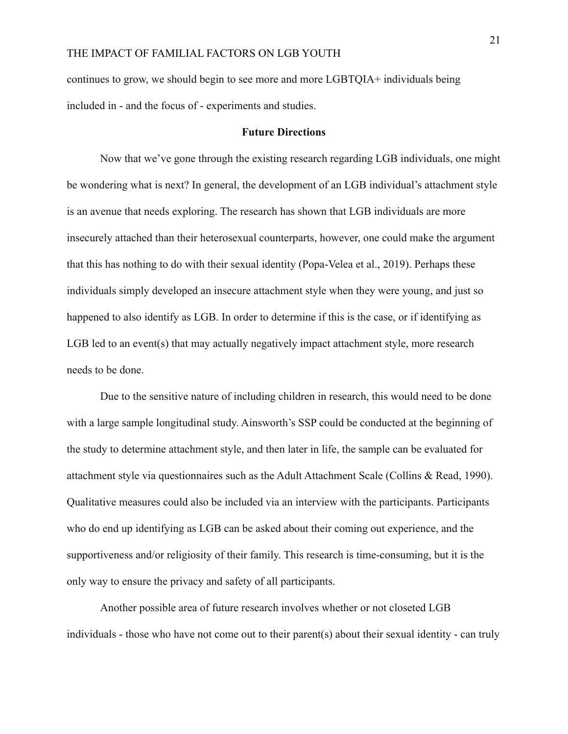continues to grow, we should begin to see more and more LGBTQIA+ individuals being included in - and the focus of - experiments and studies.

#### **Future Directions**

Now that we've gone through the existing research regarding LGB individuals, one might be wondering what is next? In general, the development of an LGB individual's attachment style is an avenue that needs exploring. The research has shown that LGB individuals are more insecurely attached than their heterosexual counterparts, however, one could make the argument that this has nothing to do with their sexual identity (Popa-Velea et al., 2019). Perhaps these individuals simply developed an insecure attachment style when they were young, and just so happened to also identify as LGB. In order to determine if this is the case, or if identifying as LGB led to an event(s) that may actually negatively impact attachment style, more research needs to be done.

Due to the sensitive nature of including children in research, this would need to be done with a large sample longitudinal study. Ainsworth's SSP could be conducted at the beginning of the study to determine attachment style, and then later in life, the sample can be evaluated for attachment style via questionnaires such as the Adult Attachment Scale (Collins & Read, 1990). Qualitative measures could also be included via an interview with the participants. Participants who do end up identifying as LGB can be asked about their coming out experience, and the supportiveness and/or religiosity of their family. This research is time-consuming, but it is the only way to ensure the privacy and safety of all participants.

Another possible area of future research involves whether or not closeted LGB individuals - those who have not come out to their parent(s) about their sexual identity - can truly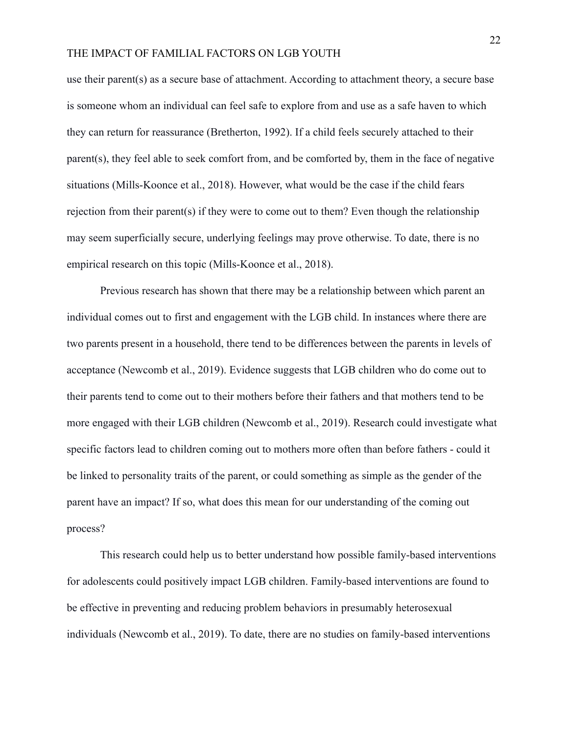use their parent(s) as a secure base of attachment. According to attachment theory, a secure base is someone whom an individual can feel safe to explore from and use as a safe haven to which they can return for reassurance (Bretherton, 1992). If a child feels securely attached to their parent(s), they feel able to seek comfort from, and be comforted by, them in the face of negative situations (Mills-Koonce et al., 2018). However, what would be the case if the child fears rejection from their parent(s) if they were to come out to them? Even though the relationship may seem superficially secure, underlying feelings may prove otherwise. To date, there is no empirical research on this topic (Mills-Koonce et al., 2018).

Previous research has shown that there may be a relationship between which parent an individual comes out to first and engagement with the LGB child. In instances where there are two parents present in a household, there tend to be differences between the parents in levels of acceptance (Newcomb et al., 2019). Evidence suggests that LGB children who do come out to their parents tend to come out to their mothers before their fathers and that mothers tend to be more engaged with their LGB children (Newcomb et al., 2019). Research could investigate what specific factors lead to children coming out to mothers more often than before fathers - could it be linked to personality traits of the parent, or could something as simple as the gender of the parent have an impact? If so, what does this mean for our understanding of the coming out process?

This research could help us to better understand how possible family-based interventions for adolescents could positively impact LGB children. Family-based interventions are found to be effective in preventing and reducing problem behaviors in presumably heterosexual individuals (Newcomb et al., 2019). To date, there are no studies on family-based interventions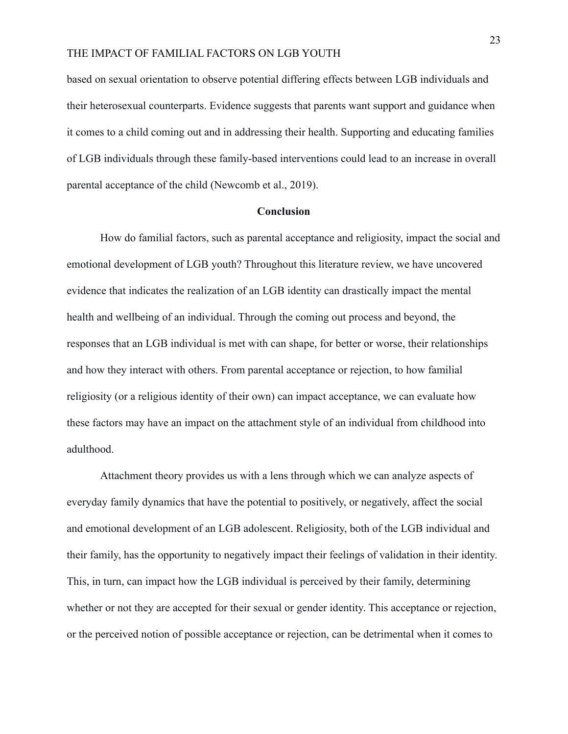based on sexual orientation to observe potential differing effects between LGB individuals and their heterosexual counterparts. Evidence suggests that parents want support and guidance when it comes to a child coming out and in addressing their health. Supporting and educating families of LGB individuals through these family-based interventions could lead to an increase in overall parental acceptance of the child (Newcomb et al., 2019).

#### **Conclusion**

How do familial factors, such as parental acceptance and religiosity, impact the social and emotional development of LGB youth? Throughout this literature review, we have uncovered evidence that indicates the realization of an LGB identity can drastically impact the mental health and wellbeing of an individual. Through the coming out process and beyond, the responses that an LGB individual is met with can shape, for better or worse, their relationships and how they interact with others. From parental acceptance or rejection, to how familial religiosity (or a religious identity of their own) can impact acceptance, we can evaluate how these factors may have an impact on the attachment style of an individual from childhood into adulthood.

Attachment theory provides us with a lens through which we can analyze aspects of everyday family dynamics that have the potential to positively, or negatively, affect the social and emotional development of an LGB adolescent. Religiosity, both of the LGB individual and their family, has the opportunity to negatively impact their feelings of validation in their identity. This, in turn, can impact how the LGB individual is perceived by their family, determining whether or not they are accepted for their sexual or gender identity. This acceptance or rejection, or the perceived notion of possible acceptance or rejection, can be detrimental when it comes to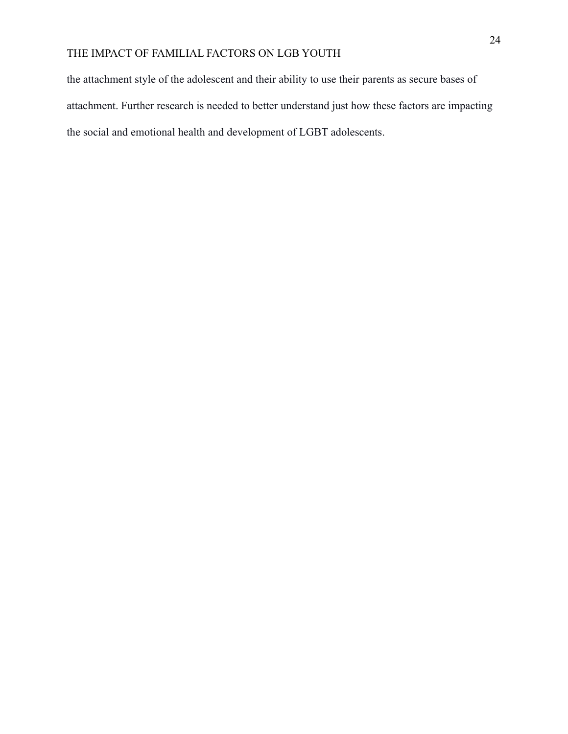the attachment style of the adolescent and their ability to use their parents as secure bases of attachment. Further research is needed to better understand just how these factors are impacting the social and emotional health and development of LGBT adolescents.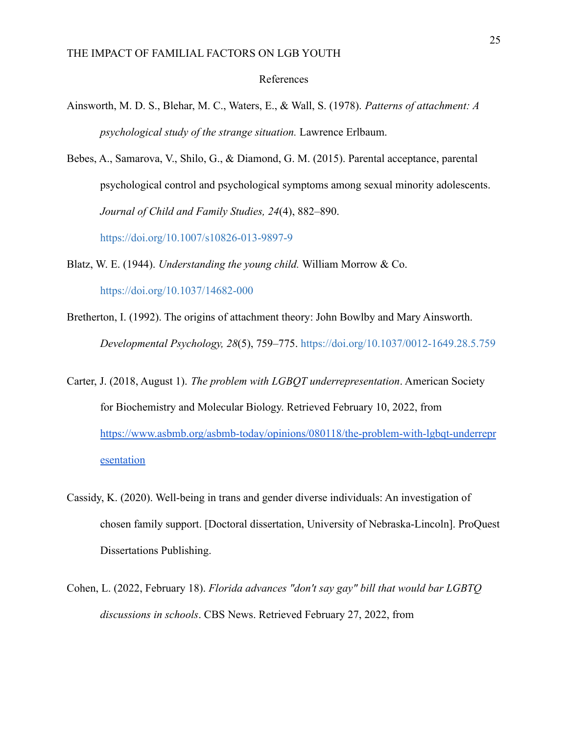#### References

- Ainsworth, M. D. S., Blehar, M. C., Waters, E., & Wall, S. (1978). *Patterns of attachment: A psychological study of the strange situation.* Lawrence Erlbaum.
- Bebes, A., Samarova, V., Shilo, G., & Diamond, G. M. (2015). Parental acceptance, parental psychological control and psychological symptoms among sexual minority adolescents. *Journal of Child and Family Studies, 24*(4), 882–890.

[https://doi.org/10.1007/s10826-013-9897-9](https://psycnet.apa.org/doi/10.1007/s10826-013-9897-9)

Blatz, W. E. (1944). *Understanding the young child.* William Morrow & Co.

[https://doi.org/10.1037/14682-000](https://psycnet.apa.org/doi/10.1037/14682-000)

- Bretherton, I. (1992). The origins of attachment theory: John Bowlby and Mary Ainsworth. *Developmental Psychology, 28*(5), 759–775. [https://doi.org/10.1037/0012-1649.28.5.759](https://psycnet.apa.org/doi/10.1037/0012-1649.28.5.759)
- Carter, J. (2018, August 1). *The problem with LGBQT underrepresentation*. American Society for Biochemistry and Molecular Biology. Retrieved February 10, 2022, from [https://www.asbmb.org/asbmb-today/opinions/080118/the-problem-with-lgbqt-underrepr](https://www.asbmb.org/asbmb-today/opinions/080118/the-problem-with-lgbqt-underrepresentation) [esentation](https://www.asbmb.org/asbmb-today/opinions/080118/the-problem-with-lgbqt-underrepresentation)
- Cassidy, K. (2020). Well-being in trans and gender diverse individuals: An investigation of chosen family support. [Doctoral dissertation, University of Nebraska-Lincoln]. ProQuest Dissertations Publishing.
- Cohen, L. (2022, February 18). *Florida advances "don't say gay" bill that would bar LGBTQ discussions in schools*. CBS News. Retrieved February 27, 2022, from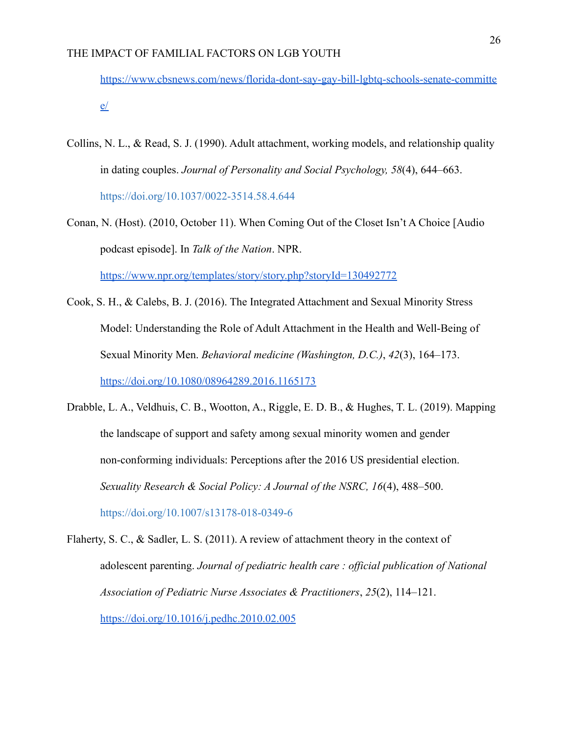[https://www.cbsnews.com/news/florida-dont-say-gay-bill-lgbtq-schools-senate-committe](https://www.cbsnews.com/news/florida-dont-say-gay-bill-lgbtq-schools-senate-committee/)  $e/$ 

- Collins, N. L., & Read, S. J. (1990). Adult attachment, working models, and relationship quality in dating couples. *Journal of Personality and Social Psychology, 58*(4), 644–663. [https://doi.org/10.1037/0022-3514.58.4.644](https://psycnet.apa.org/doi/10.1037/0022-3514.58.4.644)
- Conan, N. (Host). (2010, October 11). When Coming Out of the Closet Isn't A Choice [Audio podcast episode]. In *Talk of the Nation*. NPR.

<https://www.npr.org/templates/story/story.php?storyId=130492772>

- Cook, S. H., & Calebs, B. J. (2016). The Integrated Attachment and Sexual Minority Stress Model: Understanding the Role of Adult Attachment in the Health and Well-Being of Sexual Minority Men. *Behavioral medicine (Washington, D.C.)*, *42*(3), 164–173. <https://doi.org/10.1080/08964289.2016.1165173>
- Drabble, L. A., Veldhuis, C. B., Wootton, A., Riggle, E. D. B., & Hughes, T. L. (2019). Mapping the landscape of support and safety among sexual minority women and gender non-conforming individuals: Perceptions after the 2016 US presidential election. *Sexuality Research & Social Policy: A Journal of the NSRC, 16*(4), 488–500. [https://doi.org/10.1007/s13178-018-0349-6](https://psycnet.apa.org/doi/10.1007/s13178-018-0349-6)
- Flaherty, S. C., & Sadler, L. S. (2011). A review of attachment theory in the context of adolescent parenting. *Journal of pediatric health care : official publication of National Association of Pediatric Nurse Associates & Practitioners*, *25*(2), 114–121. <https://doi.org/10.1016/j.pedhc.2010.02.005>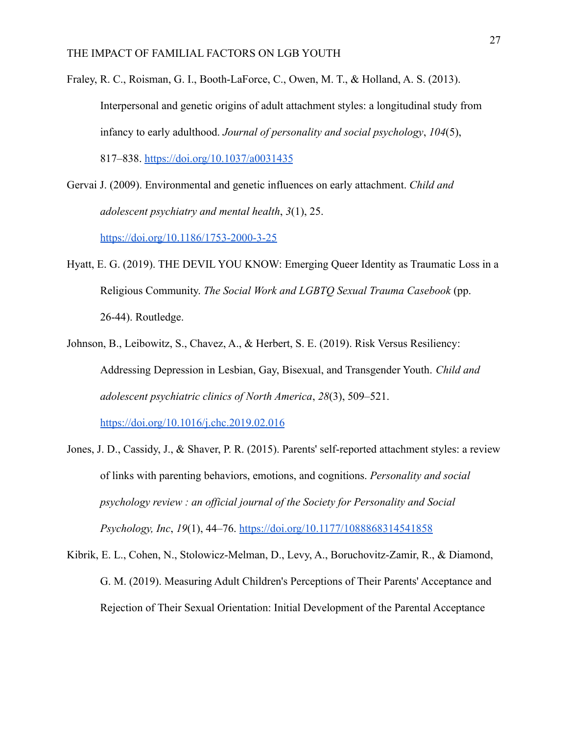- Fraley, R. C., Roisman, G. I., Booth-LaForce, C., Owen, M. T., & Holland, A. S. (2013). Interpersonal and genetic origins of adult attachment styles: a longitudinal study from infancy to early adulthood. *Journal of personality and social psychology*, *104*(5), 817–838. <https://doi.org/10.1037/a0031435>
- Gervai J. (2009). Environmental and genetic influences on early attachment. *Child and adolescent psychiatry and mental health*, *3*(1), 25. <https://doi.org/10.1186/1753-2000-3-25>
- Hyatt, E. G. (2019). THE DEVIL YOU KNOW: Emerging Queer Identity as Traumatic Loss in a Religious Community. *The Social Work and LGBTQ Sexual Trauma Casebook* (pp. 26-44). Routledge.
- Johnson, B., Leibowitz, S., Chavez, A., & Herbert, S. E. (2019). Risk Versus Resiliency: Addressing Depression in Lesbian, Gay, Bisexual, and Transgender Youth. *Child and adolescent psychiatric clinics of North America*, *28*(3), 509–521.

<https://doi.org/10.1016/j.chc.2019.02.016>

- Jones, J. D., Cassidy, J., & Shaver, P. R. (2015). Parents' self-reported attachment styles: a review of links with parenting behaviors, emotions, and cognitions. *Personality and social psychology review : an official journal of the Society for Personality and Social Psychology, Inc*, *19*(1), 44–76. <https://doi.org/10.1177/1088868314541858>
- Kibrik, E. L., Cohen, N., Stolowicz-Melman, D., Levy, A., Boruchovitz-Zamir, R., & Diamond, G. M. (2019). Measuring Adult Children's Perceptions of Their Parents' Acceptance and Rejection of Their Sexual Orientation: Initial Development of the Parental Acceptance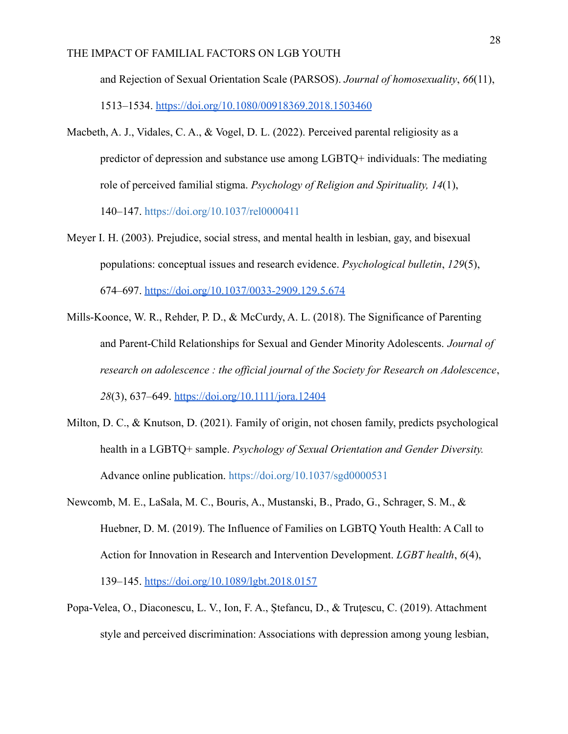and Rejection of Sexual Orientation Scale (PARSOS). *Journal of homosexuality*, *66*(11), 1513–1534. <https://doi.org/10.1080/00918369.2018.1503460>

- Macbeth, A. J., Vidales, C. A., & Vogel, D. L. (2022). Perceived parental religiosity as a predictor of depression and substance use among LGBTQ+ individuals: The mediating role of perceived familial stigma. *Psychology of Religion and Spirituality, 14*(1), 140–147. [https://doi.org/10.1037/rel0000411](https://psycnet.apa.org/doi/10.1037/rel0000411)
- Meyer I. H. (2003). Prejudice, social stress, and mental health in lesbian, gay, and bisexual populations: conceptual issues and research evidence. *Psychological bulletin*, *129*(5), 674–697. <https://doi.org/10.1037/0033-2909.129.5.674>
- Mills-Koonce, W. R., Rehder, P. D., & McCurdy, A. L. (2018). The Significance of Parenting and Parent-Child Relationships for Sexual and Gender Minority Adolescents. *Journal of research on adolescence : the official journal of the Society for Research on Adolescence*, *28*(3), 637–649. <https://doi.org/10.1111/jora.12404>
- Milton, D. C., & Knutson, D. (2021). Family of origin, not chosen family, predicts psychological health in a LGBTQ+ sample. *Psychology of Sexual Orientation and Gender Diversity.* Advance online publication. [https://doi.org/10.1037/sgd0000531](https://psycnet.apa.org/doi/10.1037/sgd0000531)
- Newcomb, M. E., LaSala, M. C., Bouris, A., Mustanski, B., Prado, G., Schrager, S. M., & Huebner, D. M. (2019). The Influence of Families on LGBTQ Youth Health: A Call to Action for Innovation in Research and Intervention Development. *LGBT health*, *6*(4), 139–145. <https://doi.org/10.1089/lgbt.2018.0157>
- Popa-Velea, O., Diaconescu, L. V., Ion, F. A., Stefancu, D., & Trutescu, C. (2019). Attachment style and perceived discrimination: Associations with depression among young lesbian,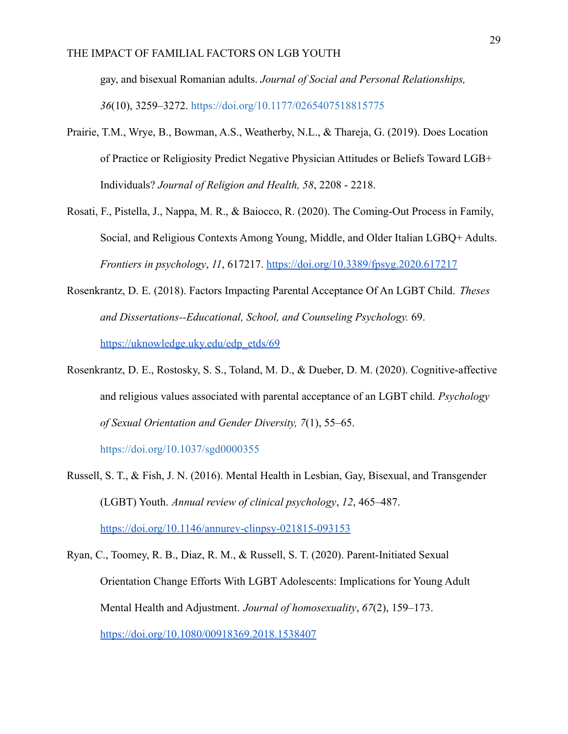gay, and bisexual Romanian adults. *Journal of Social and Personal Relationships, 36*(10), 3259–3272. [https://doi.org/10.1177/0265407518815775](https://psycnet.apa.org/doi/10.1177/0265407518815775)

- Prairie, T.M., Wrye, B., Bowman, A.S., Weatherby, N.L., & Thareja, G. (2019). Does Location of Practice or Religiosity Predict Negative Physician Attitudes or Beliefs Toward LGB+ Individuals? *Journal of Religion and Health, 58*, 2208 - 2218.
- Rosati, F., Pistella, J., Nappa, M. R., & Baiocco, R. (2020). The Coming-Out Process in Family, Social, and Religious Contexts Among Young, Middle, and Older Italian LGBQ+ Adults. *Frontiers in psychology*, *11*, 617217. <https://doi.org/10.3389/fpsyg.2020.617217>
- Rosenkrantz, D. E. (2018). Factors Impacting Parental Acceptance Of An LGBT Child. *Theses and Dissertations--Educational, School, and Counseling Psychology.* 69. [https://uknowledge.uky.edu/edp\\_etds/69](https://uknowledge.uky.edu/edp_etds/69)
- Rosenkrantz, D. E., Rostosky, S. S., Toland, M. D., & Dueber, D. M. (2020). Cognitive-affective and religious values associated with parental acceptance of an LGBT child. *Psychology of Sexual Orientation and Gender Diversity, 7*(1), 55–65.

[https://doi.org/10.1037/sgd0000355](https://psycnet.apa.org/doi/10.1037/sgd0000355)

- Russell, S. T., & Fish, J. N. (2016). Mental Health in Lesbian, Gay, Bisexual, and Transgender (LGBT) Youth. *Annual review of clinical psychology*, *12*, 465–487. <https://doi.org/10.1146/annurev-clinpsy-021815-093153>
- Ryan, C., Toomey, R. B., Diaz, R. M., & Russell, S. T. (2020). Parent-Initiated Sexual Orientation Change Efforts With LGBT Adolescents: Implications for Young Adult Mental Health and Adjustment. *Journal of homosexuality*, *67*(2), 159–173. <https://doi.org/10.1080/00918369.2018.1538407>